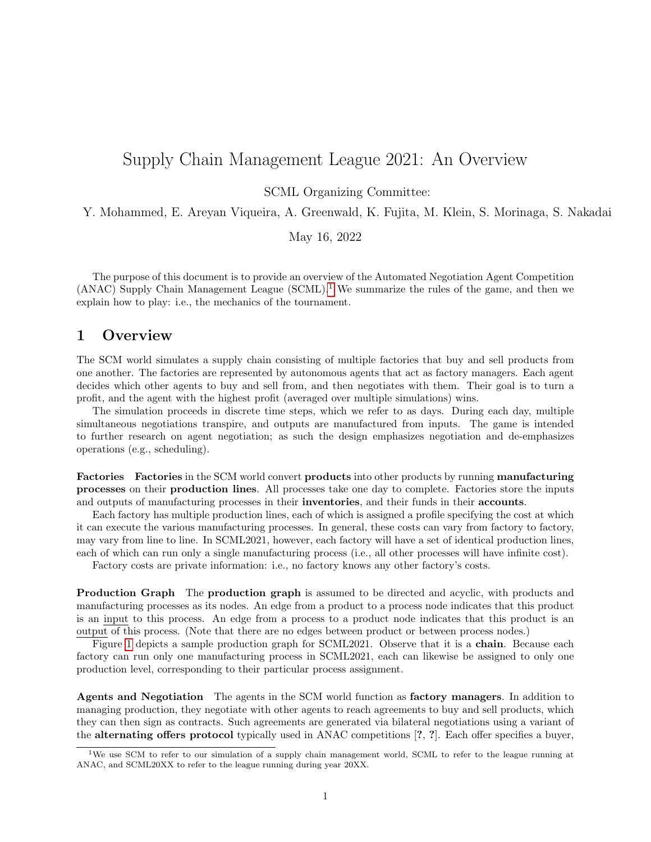## Supply Chain Management League 2021: An Overview

SCML Organizing Committee:

Y. Mohammed, E. Areyan Viqueira, A. Greenwald, K. Fujita, M. Klein, S. Morinaga, S. Nakadai

May 16, 2022

The purpose of this document is to provide an overview of the Automated Negotiation Agent Competition (ANAC) Supply Chain Management League  $(SCML)$ <sup>[1](#page-0-0)</sup>. We summarize the rules of the game, and then we explain how to play: i.e., the mechanics of the tournament.

## 1 Overview

The SCM world simulates a supply chain consisting of multiple factories that buy and sell products from one another. The factories are represented by autonomous agents that act as factory managers. Each agent decides which other agents to buy and sell from, and then negotiates with them. Their goal is to turn a profit, and the agent with the highest profit (averaged over multiple simulations) wins.

The simulation proceeds in discrete time steps, which we refer to as days. During each day, multiple simultaneous negotiations transpire, and outputs are manufactured from inputs. The game is intended to further research on agent negotiation; as such the design emphasizes negotiation and de-emphasizes operations (e.g., scheduling).

Factories Factories in the SCM world convert products into other products by running manufacturing processes on their production lines. All processes take one day to complete. Factories store the inputs and outputs of manufacturing processes in their **inventories**, and their funds in their **accounts**.

Each factory has multiple production lines, each of which is assigned a profile specifying the cost at which it can execute the various manufacturing processes. In general, these costs can vary from factory to factory, may vary from line to line. In SCML2021, however, each factory will have a set of identical production lines, each of which can run only a single manufacturing process (i.e., all other processes will have infinite cost).

Factory costs are private information: i.e., no factory knows any other factory's costs.

**Production Graph** The **production graph** is assumed to be directed and acyclic, with products and manufacturing processes as its nodes. An edge from a product to a process node indicates that this product is an input to this process. An edge from a process to a product node indicates that this product is an output of this process. (Note that there are no edges between product or between process nodes.)

Figure [1](#page-1-0) depicts a sample production graph for SCML2021. Observe that it is a **chain**. Because each factory can run only one manufacturing process in SCML2021, each can likewise be assigned to only one production level, corresponding to their particular process assignment.

Agents and Negotiation The agents in the SCM world function as factory managers. In addition to managing production, they negotiate with other agents to reach agreements to buy and sell products, which they can then sign as contracts. Such agreements are generated via bilateral negotiations using a variant of the alternating offers protocol typically used in ANAC competitions [?, ?]. Each offer specifies a buyer,

<span id="page-0-0"></span><sup>1</sup>We use SCM to refer to our simulation of a supply chain management world, SCML to refer to the league running at ANAC, and SCML20XX to refer to the league running during year 20XX.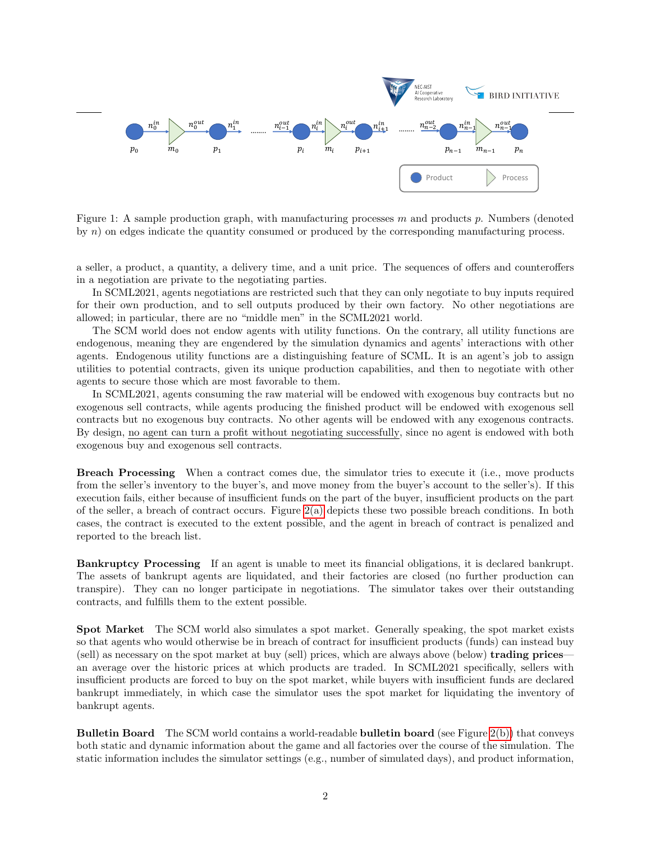<span id="page-1-0"></span>

Figure 1: A sample production graph, with manufacturing processes  $m$  and products  $p$ . Numbers (denoted by n) on edges indicate the quantity consumed or produced by the corresponding manufacturing process.

a seller, a product, a quantity, a delivery time, and a unit price. The sequences of offers and counteroffers in a negotiation are private to the negotiating parties.

In SCML2021, agents negotiations are restricted such that they can only negotiate to buy inputs required for their own production, and to sell outputs produced by their own factory. No other negotiations are allowed; in particular, there are no "middle men" in the SCML2021 world.

The SCM world does not endow agents with utility functions. On the contrary, all utility functions are endogenous, meaning they are engendered by the simulation dynamics and agents' interactions with other agents. Endogenous utility functions are a distinguishing feature of SCML. It is an agent's job to assign utilities to potential contracts, given its unique production capabilities, and then to negotiate with other agents to secure those which are most favorable to them.

In SCML2021, agents consuming the raw material will be endowed with exogenous buy contracts but no exogenous sell contracts, while agents producing the finished product will be endowed with exogenous sell contracts but no exogenous buy contracts. No other agents will be endowed with any exogenous contracts. By design, no agent can turn a profit without negotiating successfully, since no agent is endowed with both exogenous buy and exogenous sell contracts.

Breach Processing When a contract comes due, the simulator tries to execute it (i.e., move products from the seller's inventory to the buyer's, and move money from the buyer's account to the seller's). If this execution fails, either because of insufficient funds on the part of the buyer, insufficient products on the part of the seller, a breach of contract occurs. Figure  $2(a)$  depicts these two possible breach conditions. In both cases, the contract is executed to the extent possible, and the agent in breach of contract is penalized and reported to the breach list.

Bankruptcy Processing If an agent is unable to meet its financial obligations, it is declared bankrupt. The assets of bankrupt agents are liquidated, and their factories are closed (no further production can transpire). They can no longer participate in negotiations. The simulator takes over their outstanding contracts, and fulfills them to the extent possible.

Spot Market The SCM world also simulates a spot market. Generally speaking, the spot market exists so that agents who would otherwise be in breach of contract for insufficient products (funds) can instead buy (sell) as necessary on the spot market at buy (sell) prices, which are always above (below) trading prices an average over the historic prices at which products are traded. In SCML2021 specifically, sellers with insufficient products are forced to buy on the spot market, while buyers with insufficient funds are declared bankrupt immediately, in which case the simulator uses the spot market for liquidating the inventory of bankrupt agents.

Bulletin Board The SCM world contains a world-readable bulletin board (see Figure [2\(b\)\)](#page-2-1) that conveys both static and dynamic information about the game and all factories over the course of the simulation. The static information includes the simulator settings (e.g., number of simulated days), and product information,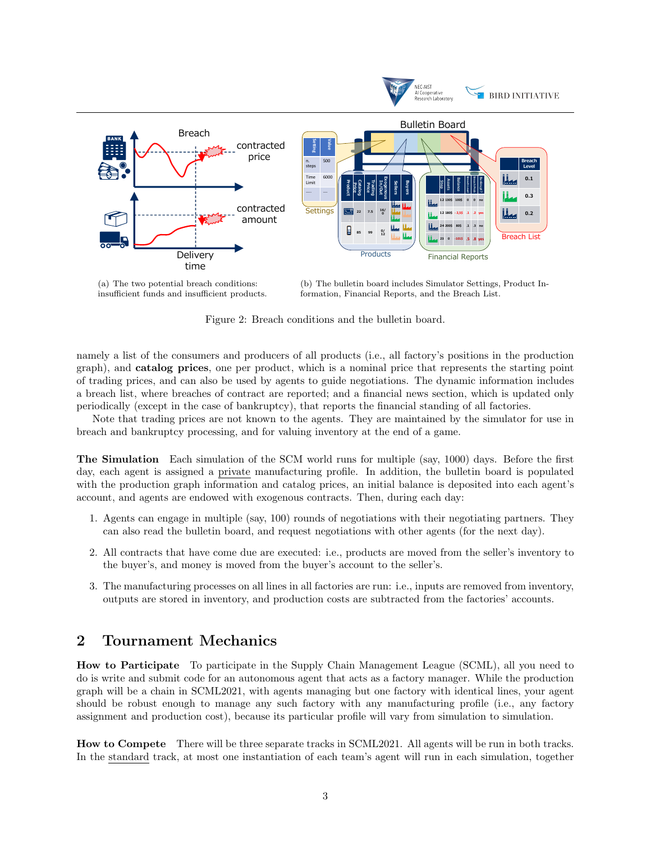<span id="page-2-0"></span>

(a) The two potential breach conditions: insufficient funds and insufficient products. (b) The bulletin board includes Simulator Settings, Product Information, Financial Reports, and the Breach List.

<span id="page-2-1"></span>Figure 2: Breach conditions and the bulletin board.

namely a list of the consumers and producers of all products (i.e., all factory's positions in the production graph), and catalog prices, one per product, which is a nominal price that represents the starting point of trading prices, and can also be used by agents to guide negotiations. The dynamic information includes a breach list, where breaches of contract are reported; and a financial news section, which is updated only periodically (except in the case of bankruptcy), that reports the financial standing of all factories.

Note that trading prices are not known to the agents. They are maintained by the simulator for use in breach and bankruptcy processing, and for valuing inventory at the end of a game.

The Simulation Each simulation of the SCM world runs for multiple (say, 1000) days. Before the first day, each agent is assigned a private manufacturing profile. In addition, the bulletin board is populated with the production graph information and catalog prices, an initial balance is deposited into each agent's account, and agents are endowed with exogenous contracts. Then, during each day:

- 1. Agents can engage in multiple (say, 100) rounds of negotiations with their negotiating partners. They can also read the bulletin board, and request negotiations with other agents (for the next day).
- 2. All contracts that have come due are executed: i.e., products are moved from the seller's inventory to the buyer's, and money is moved from the buyer's account to the seller's.
- 3. The manufacturing processes on all lines in all factories are run: i.e., inputs are removed from inventory, outputs are stored in inventory, and production costs are subtracted from the factories' accounts.

## 2 Tournament Mechanics

How to Participate To participate in the Supply Chain Management League (SCML), all you need to do is write and submit code for an autonomous agent that acts as a factory manager. While the production graph will be a chain in SCML2021, with agents managing but one factory with identical lines, your agent should be robust enough to manage any such factory with any manufacturing profile (i.e., any factory assignment and production cost), because its particular profile will vary from simulation to simulation.

How to Compete There will be three separate tracks in SCML2021. All agents will be run in both tracks. In the standard track, at most one instantiation of each team's agent will run in each simulation, together